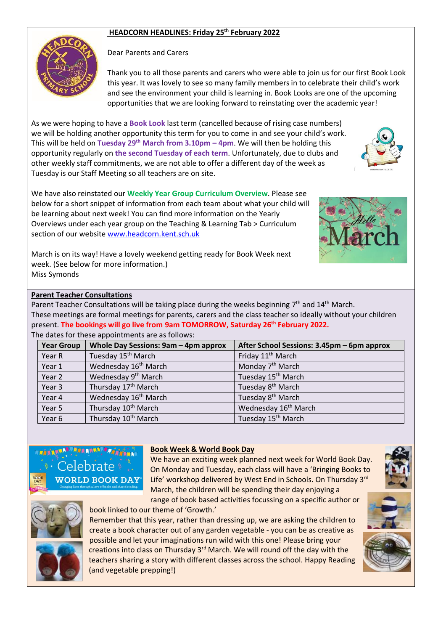## **HEADCORN HEADLINES: Friday 25th February 2022**



Dear Parents and Carers

Thank you to all those parents and carers who were able to join us for our first Book Look this year. It was lovely to see so many family members in to celebrate their child's work and see the environment your child is learning in. Book Looks are one of the upcoming opportunities that we are looking forward to reinstating over the academic year!

As we were hoping to have a **Book Look** last term (cancelled because of rising case numbers) we will be holding another opportunity this term for you to come in and see your child's work. This will be held on **Tuesday 29 th March from 3.10pm – 4pm**. We will then be holding this opportunity regularly on **the second Tuesday of each term**. Unfortunately, due to clubs and other weekly staff commitments, we are not able to offer a different day of the week as Tuesday is our Staff Meeting so all teachers are on site.

We have also reinstated our **Weekly Year Group Curriculum Overview**. Please see below for a short snippet of information from each team about what your child will be learning about next week! You can find more information on the Yearly Overviews under each year group on the Teaching & Learning Tab > Curriculum section of our websit[e www.headcorn.kent.sch.uk](http://www.headcorn.kent.sch.uk/)



March is on its way! Have a lovely weekend getting ready for Book Week next week. (See below for more information.) Miss Symonds

book linked to our theme of 'Growth.'

## **Parent Teacher Consultations**

Parent Teacher Consultations will be taking place during the weeks beginning  $7<sup>th</sup>$  and 14<sup>th</sup> March. These meetings are formal meetings for parents, carers and the class teacher so ideally without your children present. **The bookings will go live from 9am TOMORROW, Saturday 26 th February 2022.** 

## The dates for these appointments are as follows:

| <b>Year Group</b> | Whole Day Sessions: 9am - 4pm approx | After School Sessions: 3.45pm - 6pm approx |
|-------------------|--------------------------------------|--------------------------------------------|
| Year R            | Tuesday 15 <sup>th</sup> March       | Friday 11 <sup>th</sup> March              |
| Year 1            | Wednesday 16 <sup>th</sup> March     | Monday 7 <sup>th</sup> March               |
| Year 2            | Wednesday 9 <sup>th</sup> March      | Tuesday 15 <sup>th</sup> March             |
| Year 3            | Thursday 17 <sup>th</sup> March      | Tuesday 8 <sup>th</sup> March              |
| Year 4            | Wednesday 16 <sup>th</sup> March     | Tuesday 8 <sup>th</sup> March              |
| Year 5            | Thursday 10 <sup>th</sup> March      | Wednesday 16 <sup>th</sup> March           |
| Year 6            | Thursday 10 <sup>th</sup> March      | Tuesday 15 <sup>th</sup> March             |

*FREST NAMES AND REAL PROPERTY.* Celebrate **WORLD BOOK DAY** 

## **Book Week & World Book Day**

We have an exciting week planned next week for World Book Day. On Monday and Tuesday, each class will have a 'Bringing Books to Life' workshop delivered by West End in Schools. On Thursday 3rd March, the children will be spending their day enjoying a range of book based activities focussing on a specific author or



Remember that this year, rather than dressing up, we are asking the children to create a book character out of any garden vegetable - you can be as creative as possible and let your imaginations run wild with this one! Please bring your creations into class on Thursday 3<sup>rd</sup> March. We will round off the day with the teachers sharing a story with different classes across the school. Happy Reading (and vegetable prepping!)